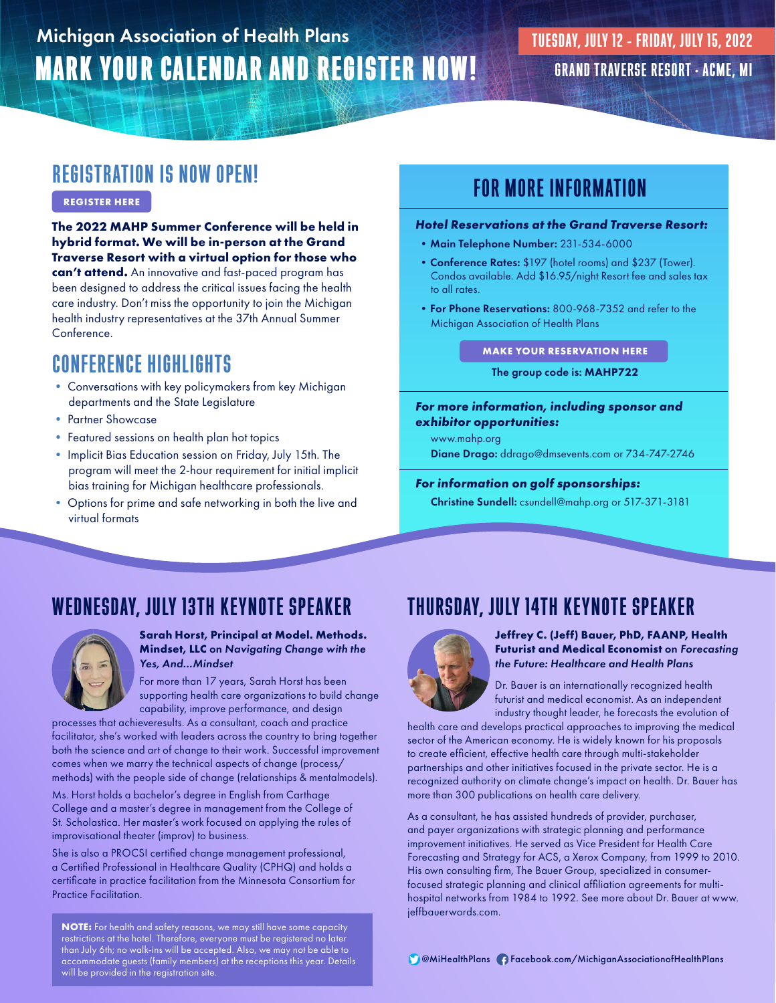# MARK YOUR CALENDAR AND REGISTER NOW! Michigan Association of Health Plans

# REGISTRATION IS NOW OPEN!

### **[REGISTER HERE](https://mahp.connect.space/2022-mahp-sc/details)**

**The 2022 MAHP Summer Conference will be held in hybrid format. We will be in-person at the Grand Traverse Resort with a virtual option for those who can't attend.** An innovative and fast-paced program has been designed to address the critical issues facing the health care industry. Don't miss the opportunity to join the Michigan health industry representatives at the 37th Annual Summer Conference.

## CONFERENCE HIGHLIGHTS

- Conversations with key policymakers from key Michigan departments and the State Legislature
- Partner Showcase
- Featured sessions on health plan hot topics
- Implicit Bias Education session on Friday, July 15th. The program will meet the 2-hour requirement for initial implicit bias training for Michigan healthcare professionals.
- Options for prime and safe networking in both the live and virtual formats

# FOR MORE INFORMATION

### *Hotel Reservations at the Grand Traverse Resort:*

- Main Telephone Number: 231-534-6000
- Conference Rates: \$197 (hotel rooms) and \$237 (Tower). Condos available. Add \$16.95/night Resort fee and sales tax to all rates.
- For Phone Reservations: 800-968-7352 and refer to the Michigan Association of Health Plans

### **[MAKE YOUR RESERVATION HERE](https://book.rguest.com/onecart/wbe/calendar/759/Grand-Traverse-Resort/mahp722)**

### The group code is: MAHP722

### *For more information, including sponsor and exhibitor opportunities:*

www.mahp.org

Diane Drago: ddrago@dmsevents.com or 734-747-2746

### *For information on golf sponsorships:*

Christine Sundell: csundell@mahp.org or 517-371-3181

# WEDNESDAY, JULY 13TH KEYNOTE SPEAKER



#### **Sarah Horst, Principal at Model. Methods. Mindset, LLC** on *Navigating Change with the Yes, And...Mindset*

For more than 17 years, Sarah Horst has been supporting health care organizations to build change capability, improve performance, and design

processes that achieveresults. As a consultant, coach and practice facilitator, she's worked with leaders across the country to bring together both the science and art of change to their work. Successful improvement comes when we marry the technical aspects of change (process/ methods) with the people side of change (relationships & mentalmodels).

Ms. Horst holds a bachelor's degree in English from Carthage College and a master's degree in management from the College of St. Scholastica. Her master's work focused on applying the rules of improvisational theater (improv) to business.

She is also a PROCSI certified change management professional, a Certified Professional in Healthcare Quality (CPHQ) and holds a certificate in practice facilitation from the Minnesota Consortium for Practice Facilitation.

**NOTE:** For health and safety reasons, we may still have some capacity restrictions at the hotel. Therefore, everyone must be registered no later than July 6th; no walk-ins will be accepted. Also, we may not be able to accommodate guests (family members) at the receptions this year. Details will be provided in the registration site.

# THURSDAY, JULY 14TH KEYNOTE SPEAKER



**Jeffrey C. (Jeff) Bauer, PhD, FAANP, Health Futurist and Medical Economist** on *Forecasting the Future: Healthcare and Health Plans*

Dr. Bauer is an internationally recognized health futurist and medical economist. As an independent industry thought leader, he forecasts the evolution of

health care and develops practical approaches to improving the medical sector of the American economy. He is widely known for his proposals to create efficient, effective health care through multi-stakeholder partnerships and other initiatives focused in the private sector. He is a recognized authority on climate change's impact on health. Dr. Bauer has more than 300 publications on health care delivery.

As a consultant, he has assisted hundreds of provider, purchaser, and payer organizations with strategic planning and performance improvement initiatives. He served as Vice President for Health Care Forecasting and Strategy for ACS, a Xerox Company, from 1999 to 2010. His own consulting firm, The Bauer Group, specialized in consumerfocused strategic planning and clinical affiliation agreements for multihospital networks from 1984 to 1992. See more about Dr. Bauer at www. jeffbauerwords.com.

@MiHealthPlans Facebook.com/MichiganAssociationofHealthPlans